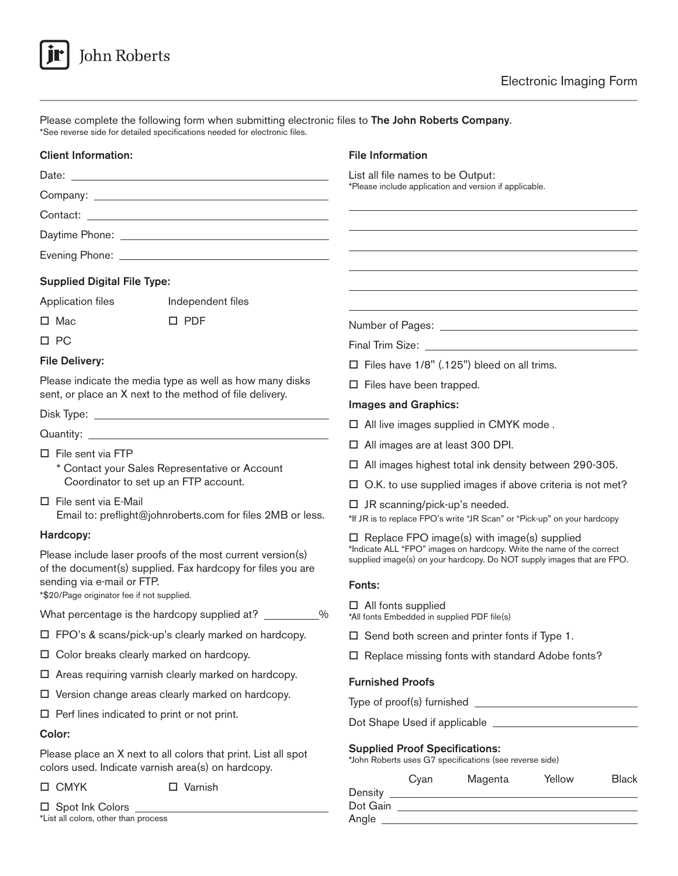

| *See reverse side for detailed specifications needed for electronic files. | Please complete the following form when submitting electronic files to The John Roberts Company. |
|----------------------------------------------------------------------------|--------------------------------------------------------------------------------------------------|
| <b>Client Information:</b>                                                 | <b>File Information</b>                                                                          |
| Date:                                                                      | List all file names to be Output:                                                                |
|                                                                            | *Please include application and version if applicable.                                           |
|                                                                            |                                                                                                  |
|                                                                            |                                                                                                  |

# Supplied Digital File Type:

Evening Phone:

| Application files                                                                                                                                                                                                                                                | Independent files                                          |                                                                                                                                                                                                       |  |
|------------------------------------------------------------------------------------------------------------------------------------------------------------------------------------------------------------------------------------------------------------------|------------------------------------------------------------|-------------------------------------------------------------------------------------------------------------------------------------------------------------------------------------------------------|--|
| $\Box$ Mac                                                                                                                                                                                                                                                       | $\square$ PDF                                              |                                                                                                                                                                                                       |  |
| $\Box$ PC<br><b>File Delivery:</b>                                                                                                                                                                                                                               |                                                            |                                                                                                                                                                                                       |  |
|                                                                                                                                                                                                                                                                  |                                                            | $\Box$ Files have 1/8" (.125") bleed on all trims.                                                                                                                                                    |  |
| Please indicate the media type as well as how many disks<br>sent, or place an X next to the method of file delivery.                                                                                                                                             |                                                            | $\Box$ Files have been trapped.                                                                                                                                                                       |  |
|                                                                                                                                                                                                                                                                  |                                                            | <b>Images and Graphics:</b>                                                                                                                                                                           |  |
|                                                                                                                                                                                                                                                                  |                                                            | $\Box$ All live images supplied in CMYK mode.                                                                                                                                                         |  |
| $\Box$ File sent via FTP<br>* Contact your Sales Representative or Account<br>Coordinator to set up an FTP account.                                                                                                                                              |                                                            | $\Box$ All images are at least 300 DPI.                                                                                                                                                               |  |
|                                                                                                                                                                                                                                                                  |                                                            | $\Box$ All images highest total ink density between 290-305.                                                                                                                                          |  |
|                                                                                                                                                                                                                                                                  |                                                            | $\Box$ O.K. to use supplied images if above criteria is not met?                                                                                                                                      |  |
| $\Box$ File sent via E-Mail<br>Email to: preflight@johnroberts.com for files 2MB or less.                                                                                                                                                                        |                                                            | $\Box$ JR scanning/pick-up's needed.<br>*If JR is to replace FPO's write "JR Scan" or "Pick-up" on your hardcopy                                                                                      |  |
| Hardcopy:                                                                                                                                                                                                                                                        |                                                            | $\Box$ Replace FPO image(s) with image(s) supplied<br>*Indicate ALL "FPO" images on hardcopy. Write the name of the correct<br>supplied image(s) on your hardcopy. Do NOT supply images that are FPO. |  |
| Please include laser proofs of the most current version(s)<br>of the document(s) supplied. Fax hardcopy for files you are<br>sending via e-mail or FTP.<br>*\$20/Page originator fee if not supplied.<br>What percentage is the hardcopy supplied at? _________% |                                                            |                                                                                                                                                                                                       |  |
|                                                                                                                                                                                                                                                                  |                                                            | Fonts:                                                                                                                                                                                                |  |
|                                                                                                                                                                                                                                                                  |                                                            | $\Box$ All fonts supplied<br>*All fonts Embedded in supplied PDF file(s)                                                                                                                              |  |
|                                                                                                                                                                                                                                                                  | $\Box$ FPO's & scans/pick-up's clearly marked on hardcopy. | $\Box$ Send both screen and printer fonts if Type 1.                                                                                                                                                  |  |
| $\Box$ Color breaks clearly marked on hardcopy.                                                                                                                                                                                                                  |                                                            | $\Box$ Replace missing fonts with standard Adobe fonts?                                                                                                                                               |  |
| $\Box$ Areas requiring varnish clearly marked on hardcopy.                                                                                                                                                                                                       |                                                            | <b>Furnished Proofs</b>                                                                                                                                                                               |  |

- $\Box$  Version change areas clearly marked on hardcopy.
- $\square$  Perf lines indicated to print or not print.

## Color:

Please place an X next to all colors that print. List all spot colors used. Indicate varnish area(s) on hardcopy.

 $\square$  Spot Ink Colors  $\square$ \*List all colors, other than process

□ CMYK □ Varnish

Type of proof(s) furnished Dot Shape Used if applicable Supplied Proof Specifications: \*John Roberts uses G7 specifications (see reverse side)

|          | Cyan | Magenta | Yellow | <b>Black</b> |
|----------|------|---------|--------|--------------|
| Density  |      |         |        |              |
| Dot Gain |      |         |        |              |
| Angle    |      |         |        |              |